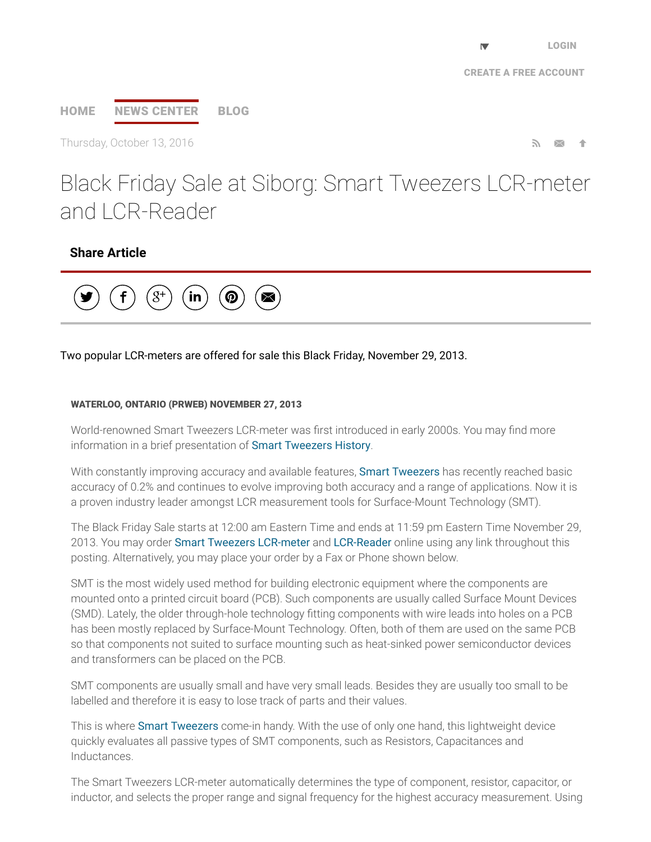# [HOME](http://www.prweb.com/) NEWS [CENTER](http://www.prweb.com/recentnews/) [BLOG](http://www.cision.com/us/blog/)

Thursday, October 13, 2016  $\blacksquare$ 

Black Friday Sale at Siborg: Smart Tweezers LCR-meter and LCR-Reader

## Share Article



### Two popular LCR-meters are offered for sale this Black Friday, November 29, 2013.

#### WATERLOO, ONTARIO (PRWEB) NOVEMBER 27, 2013

World-renowned Smart Tweezers LCR-meter was first introduced in early 2000s. You may find more information in a brief presentation of Smart [Tweezers](http://www.prweb.net/Redirect.aspx?id=aHR0cDovL3d3dy5zbWFydHR3ZWV6ZXJzLm9yZy8=) History.

With constantly improving accuracy and available features, Smart [Tweezers](http://www.prweb.net/Redirect.aspx?id=aHR0cDovL3d3dy5zaWJvcmcuY29tL3NtYXJ0dHdlZXplcnM=) has recently reached basic accuracy of 0.2% and continues to evolve improving both accuracy and a range of applications. Now it is a proven industry leader amongst LCR measurement tools for Surface-Mount Technology (SMT).

The Black Friday Sale starts at 12:00 am Eastern Time and ends at 11:59 pm Eastern Time November 29, 2013. You may order Smart Tweezers [LCR-meter](http://www.prweb.net/Redirect.aspx?id=aHR0cDovL3d3dy5zbWFydHR3ZWV6ZXJzLmNhLw==) and [LCR-Reader](http://www.prweb.net/Redirect.aspx?id=aHR0cDovL3d3dy5sY3ItcmVhZGVyLmNvbS8=) online using any link throughout this posting. Alternatively, you may place your order by a Fax or Phone shown below.

SMT is the most widely used method for building electronic equipment where the components are mounted onto a printed circuit board (PCB). Such components are usually called Surface Mount Devices (SMD). Lately, the older through-hole technology fitting components with wire leads into holes on a PCB has been mostly replaced by Surface-Mount Technology. Often, both of them are used on the same PCB so that components not suited to surface mounting such as heat-sinked power semiconductor devices and transformers can be placed on the PCB.

SMT components are usually small and have very small leads. Besides they are usually too small to be labelled and therefore it is easy to lose track of parts and their values.

This is where Smart [Tweezers](http://www.prweb.net/Redirect.aspx?id=aHR0cDovL3d3dy5zbWFydHR3ZWV6ZXJzLmluLw==) come-in handy. With the use of only one hand, this lightweight device quickly evaluates all passive types of SMT components, such as Resistors, Capacitances and Inductances.

The Smart Tweezers LCR-meter automatically determines the type of component, resistor, capacitor, or inductor, and selects the proper range and signal frequency for the highest accuracy measurement. Using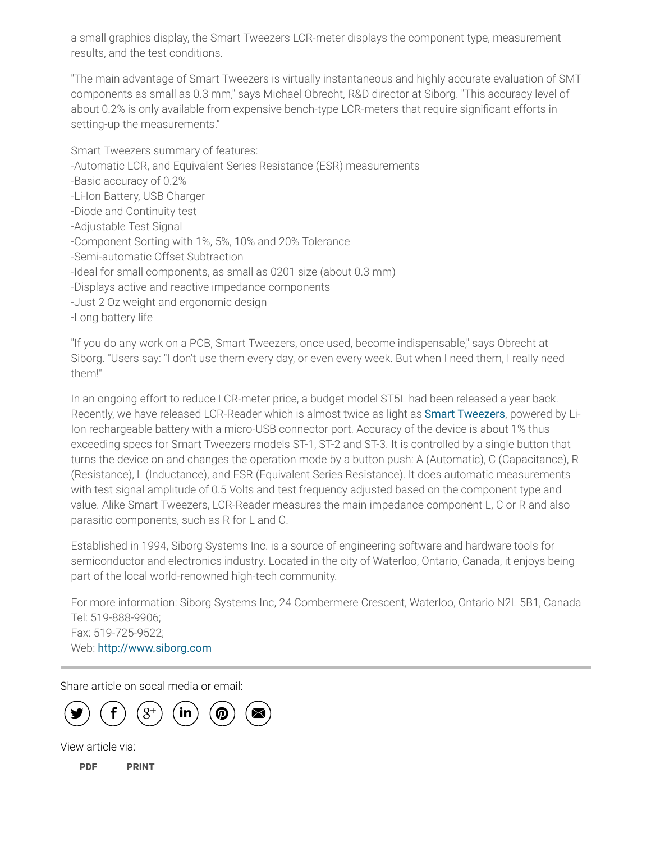a small graphics display, the Smart Tweezers LCR-meter displays the component type, measurement results, and the test conditions.

"The main advantage of Smart Tweezers is virtually instantaneous and highly accurate evaluation of SMT components as small as 0.3 mm," says Michael Obrecht, R&D director at Siborg. "This accuracy level of about 0.2% is only available from expensive bench-type LCR-meters that require significant efforts in setting-up the measurements."

Smart Tweezers summary of features: -Automatic LCR, and Equivalent Series Resistance (ESR) measurements -Basic accuracy of 0.2% -Li-Ion Battery, USB Charger -Diode and Continuity test -Adjustable Test Signal -Component Sorting with 1%, 5%, 10% and 20% Tolerance -Semi-automatic Offset Subtraction -Ideal for small components, as small as 0201 size (about 0.3 mm) -Displays active and reactive impedance components -Just 2 Oz weight and ergonomic design

-Long battery life

"If you do any work on a PCB, Smart Tweezers, once used, become indispensable," says Obrecht at Siborg. "Users say: "I don't use them every day, or even every week. But when I need them, I really need them!"

In an ongoing effort to reduce LCR-meter price, a budget model ST5L had been released a year back. Recently, we have released LCR-Reader which is almost twice as light as **Smart [Tweezers](http://www.prweb.net/Redirect.aspx?id=aHR0cDovL3d3dy5zbWFydHR3ZWV6ZXJzLnVz)**, powered by Li-Ion rechargeable battery with a micro-USB connector port. Accuracy of the device is about 1% thus exceeding specs for Smart Tweezers models ST-1, ST-2 and ST-3. It is controlled by a single button that turns the device on and changes the operation mode by a button push: A (Automatic), C (Capacitance), R (Resistance), L (Inductance), and ESR (Equivalent Series Resistance). It does automatic measurements with test signal amplitude of 0.5 Volts and test frequency adjusted based on the component type and value. Alike Smart Tweezers, LCR-Reader measures the main impedance component L, C or R and also parasitic components, such as R for L and C.

Established in 1994, Siborg Systems Inc. is a source of engineering software and hardware tools for semiconductor and electronics industry. Located in the city of Waterloo, Ontario, Canada, it enjoys being part of the local world-renowned high-tech community.

For more information: Siborg Systems Inc, 24 Combermere Crescent, Waterloo, Ontario N2L 5B1, Canada Tel: 519-888-9906; Fax: 519-725-9522; Web: [http://www.siborg.com](http://www.prweb.net/Redirect.aspx?id=aHR0cDovL3d3dy5zaWJvcmcuY29t)

Share article on socal media or email:



View article via:

[PDF](http://www.prweb.com/pdfdownload/11370458.pdf) [PRINT](http://www.prweb.com/printer/11370458.htm)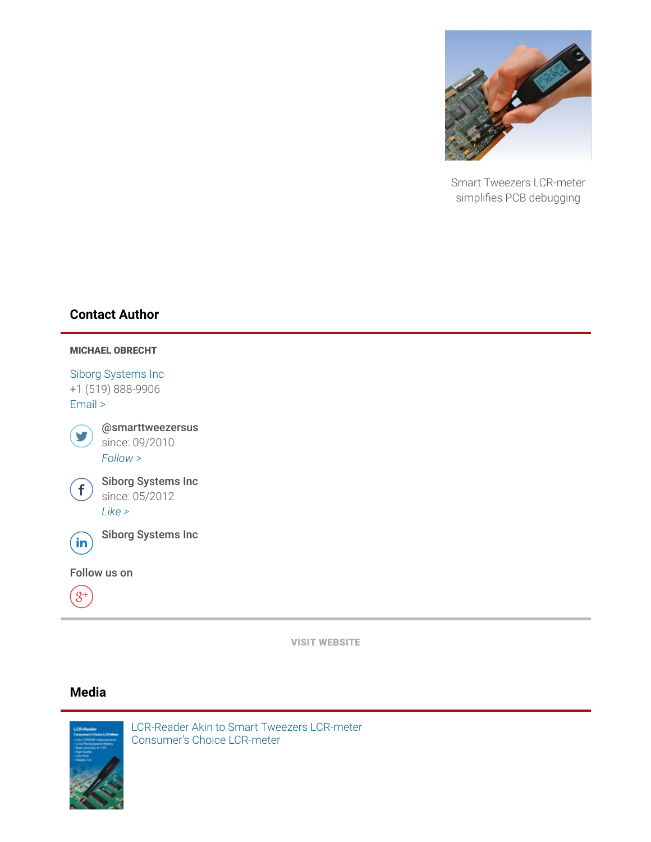

Smart Tweezers LCR-meter simplifies PCB debugging

## Contact Author



VISIT [WEBSITE](http://www.prweb.net/Redirect.aspx?id=aHR0cDovL3d3dy5sY3ItcmVhZGVyLmNvbQ==)

## Media



LCR-Reader Akin to Smart Tweezers LCR-meter [Consumer's](http://ww1.prweb.com/prfiles/2013/11/27/11370458/lcr-meter-ad.jpg) Choice LCR-meter